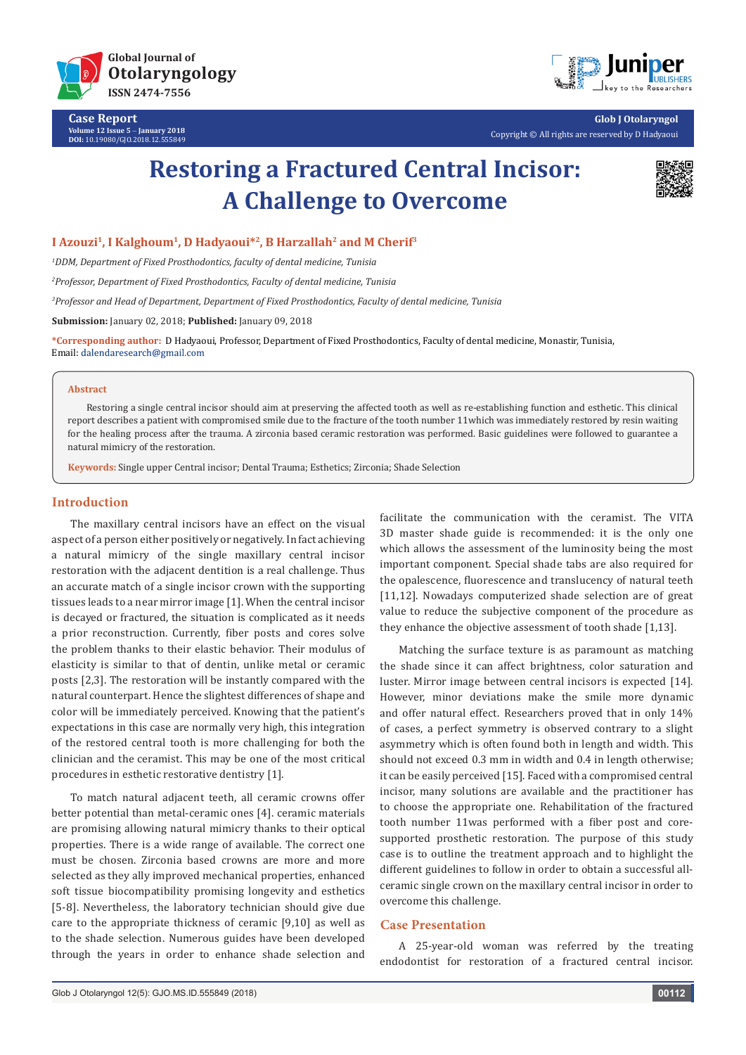



**Glob J Otolaryngol** Copyright © All rights are reserved by D Hadyaoui

# **Restoring a Fractured Central Incisor: A Challenge to Overcome**



## I Azouzi<sup>1</sup>, I Kalghoum<sup>1</sup>, D Hadyaoui<sup>\*2</sup>, B Harzallah<sup>2</sup> and M Cherif<sup>3</sup>

*1 DDM, Department of Fixed Prosthodontics, faculty of dental medicine, Tunisia* 

*2 Professor, Department of Fixed Prosthodontics, Faculty of dental medicine, Tunisia* 

*3 Professor and Head of Department, Department of Fixed Prosthodontics, Faculty of dental medicine, Tunisia* 

**Submission:** January 02, 2018; **Published:** January 09, 2018

**\*Corresponding author:** D Hadyaoui, Professor, Department of Fixed Prosthodontics, Faculty of dental medicine, Monastir, Tunisia, Email: dalendaresearch@gmail.com

#### **Abstract**

Restoring a single central incisor should aim at preserving the affected tooth as well as re-establishing function and esthetic. This clinical report describes a patient with compromised smile due to the fracture of the tooth number 11which was immediately restored by resin waiting for the healing process after the trauma. A zirconia based ceramic restoration was performed. Basic guidelines were followed to guarantee a natural mimicry of the restoration.

**Keywords:** Single upper Central incisor; Dental Trauma; Esthetics; Zirconia; Shade Selection

## **Introduction**

The maxillary central incisors have an effect on the visual aspect of a person either positively or negatively. In fact achieving a natural mimicry of the single maxillary central incisor restoration with the adjacent dentition is a real challenge. Thus an accurate match of a single incisor crown with the supporting tissues leads to a near mirror image [1]. When the central incisor is decayed or fractured, the situation is complicated as it needs a prior reconstruction. Currently, fiber posts and cores solve the problem thanks to their elastic behavior. Their modulus of elasticity is similar to that of dentin, unlike metal or ceramic posts [2,3]. The restoration will be instantly compared with the natural counterpart. Hence the slightest differences of shape and color will be immediately perceived. Knowing that the patient's expectations in this case are normally very high, this integration of the restored central tooth is more challenging for both the clinician and the ceramist. This may be one of the most critical procedures in esthetic restorative dentistry [1].

To match natural adjacent teeth, all ceramic crowns offer better potential than metal-ceramic ones [4]. ceramic materials are promising allowing natural mimicry thanks to their optical properties. There is a wide range of available. The correct one must be chosen. Zirconia based crowns are more and more selected as they ally improved mechanical properties, enhanced soft tissue biocompatibility promising longevity and esthetics [5-8]. Nevertheless, the laboratory technician should give due care to the appropriate thickness of ceramic [9,10] as well as to the shade selection. Numerous guides have been developed through the years in order to enhance shade selection and facilitate the communication with the ceramist. The VITA 3D master shade guide is recommended: it is the only one which allows the assessment of the luminosity being the most important component. Special shade tabs are also required for the opalescence, fluorescence and translucency of natural teeth [11,12]. Nowadays computerized shade selection are of great value to reduce the subjective component of the procedure as they enhance the objective assessment of tooth shade [1,13].

Matching the surface texture is as paramount as matching the shade since it can affect brightness, color saturation and luster. Mirror image between central incisors is expected [14]. However, minor deviations make the smile more dynamic and offer natural effect. Researchers proved that in only 14% of cases, a perfect symmetry is observed contrary to a slight asymmetry which is often found both in length and width. This should not exceed 0.3 mm in width and 0.4 in length otherwise; it can be easily perceived [15]. Faced with a compromised central incisor, many solutions are available and the practitioner has to choose the appropriate one. Rehabilitation of the fractured tooth number 11was performed with a fiber post and coresupported prosthetic restoration. The purpose of this study case is to outline the treatment approach and to highlight the different guidelines to follow in order to obtain a successful allceramic single crown on the maxillary central incisor in order to overcome this challenge.

# **Case Presentation**

A 25-year-old woman was referred by the treating endodontist for restoration of a fractured central incisor.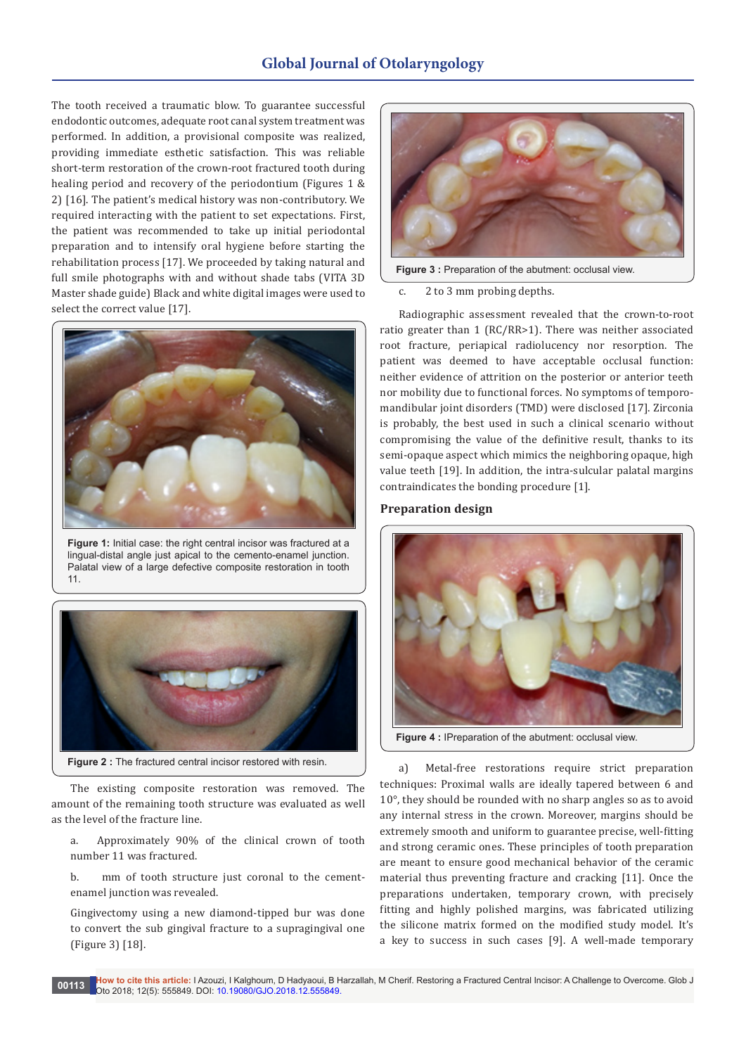# **Global Journal of Otolaryngology**

The tooth received a traumatic blow. To guarantee successful endodontic outcomes, adequate root canal system treatment was performed. In addition, a provisional composite was realized, providing immediate esthetic satisfaction. This was reliable short-term restoration of the crown-root fractured tooth during healing period and recovery of the periodontium (Figures 1 & 2) [16]. The patient's medical history was non-contributory. We required interacting with the patient to set expectations. First, the patient was recommended to take up initial periodontal preparation and to intensify oral hygiene before starting the rehabilitation process [17]. We proceeded by taking natural and full smile photographs with and without shade tabs (VITA 3D Master shade guide) Black and white digital images were used to select the correct value [17].



**Figure 1:** Initial case: the right central incisor was fractured at a lingual-distal angle just apical to the cemento-enamel junction. Palatal view of a large defective composite restoration in tooth 11.



The existing composite restoration was removed. The amount of the remaining tooth structure was evaluated as well as the level of the fracture line.

a. Approximately 90% of the clinical crown of tooth number 11 was fractured.

b. mm of tooth structure just coronal to the cementenamel junction was revealed.

Gingivectomy using a new diamond-tipped bur was done to convert the sub gingival fracture to a supragingival one (Figure 3) [18].



**Figure 3 :** Preparation of the abutment: occlusal view.

## c. 2 to 3 mm probing depths.

Radiographic assessment revealed that the crown-to-root ratio greater than 1 (RC/RR>1). There was neither associated root fracture, periapical radiolucency nor resorption. The patient was deemed to have acceptable occlusal function: neither evidence of attrition on the posterior or anterior teeth nor mobility due to functional forces. No symptoms of temporomandibular joint disorders (TMD) were disclosed [17]. Zirconia is probably, the best used in such a clinical scenario without compromising the value of the definitive result, thanks to its semi-opaque aspect which mimics the neighboring opaque, high value teeth [19]. In addition, the intra-sulcular palatal margins contraindicates the bonding procedure [1].

## **Preparation design**



**Figure 4 :** IPreparation of the abutment: occlusal view.

a) Metal-free restorations require strict preparation techniques: Proximal walls are ideally tapered between 6 and 10°, they should be rounded with no sharp angles so as to avoid any internal stress in the crown. Moreover, margins should be extremely smooth and uniform to guarantee precise, well-fitting and strong ceramic ones. These principles of tooth preparation are meant to ensure good mechanical behavior of the ceramic material thus preventing fracture and cracking [11]. Once the preparations undertaken, temporary crown, with precisely fitting and highly polished margins, was fabricated utilizing the silicone matrix formed on the modified study model. It's a key to success in such cases [9]. A well-made temporary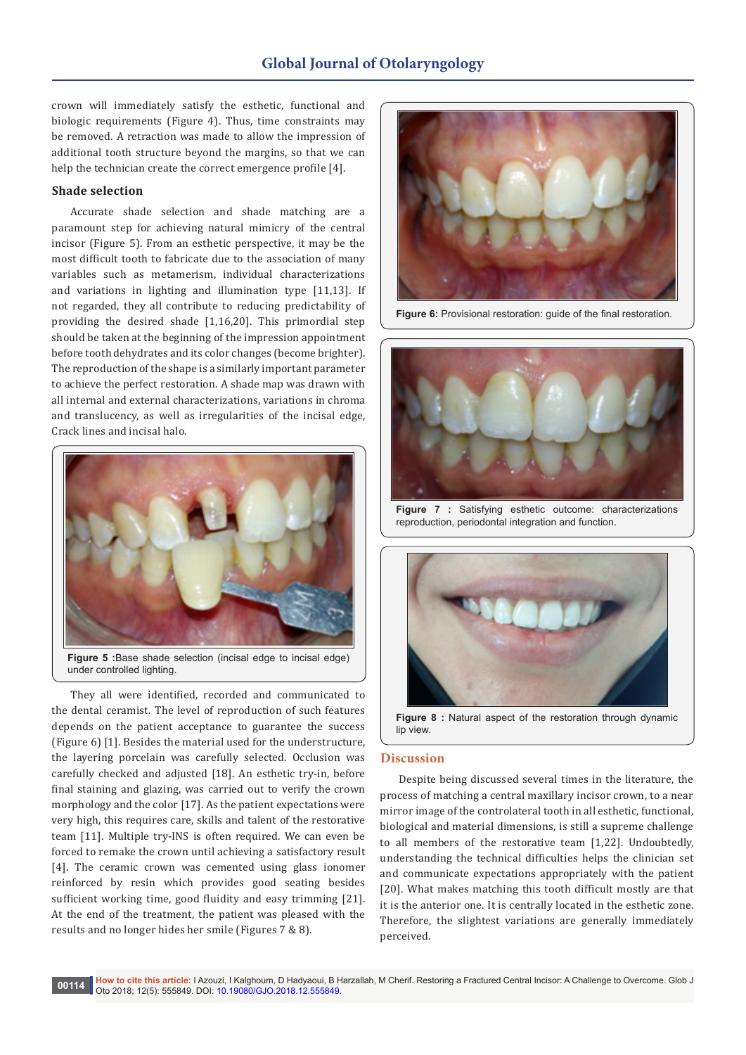# **Global Journal of Otolaryngology**

crown will immediately satisfy the esthetic, functional and biologic requirements (Figure 4). Thus, time constraints may be removed. A retraction was made to allow the impression of additional tooth structure beyond the margins, so that we can help the technician create the correct emergence profile [4].

# **Shade selection**

Accurate shade selection and shade matching are a paramount step for achieving natural mimicry of the central incisor (Figure 5). From an esthetic perspective, it may be the most difficult tooth to fabricate due to the association of many variables such as metamerism, individual characterizations and variations in lighting and illumination type [11,13]. If not regarded, they all contribute to reducing predictability of providing the desired shade [1,16,20]. This primordial step should be taken at the beginning of the impression appointment before tooth dehydrates and its color changes (become brighter). The reproduction of the shape is a similarly important parameter to achieve the perfect restoration. A shade map was drawn with all internal and external characterizations, variations in chroma and translucency, as well as irregularities of the incisal edge, Crack lines and incisal halo.



**Figure 5 :**Base shade selection (incisal edge to incisal edge) under controlled lighting.

They all were identified, recorded and communicated to the dental ceramist. The level of reproduction of such features depends on the patient acceptance to guarantee the success (Figure 6) [1]. Besides the material used for the understructure, the layering porcelain was carefully selected. Occlusion was carefully checked and adjusted [18]. An esthetic try-in, before final staining and glazing, was carried out to verify the crown morphology and the color [17]. As the patient expectations were very high, this requires care, skills and talent of the restorative team [11]. Multiple try-INS is often required. We can even be forced to remake the crown until achieving a satisfactory result [4]. The ceramic crown was cemented using glass ionomer reinforced by resin which provides good seating besides sufficient working time, good fluidity and easy trimming [21]. At the end of the treatment, the patient was pleased with the results and no longer hides her smile (Figures 7 & 8).



**Figure 6:** Provisional restoration: guide of the final restoration.



**Figure 7 :** Satisfying esthetic outcome: characterizations reproduction, periodontal integration and function.



**Figure 8 :** Natural aspect of the restoration through dynamic lin view.

### **Discussion**

Despite being discussed several times in the literature, the process of matching a central maxillary incisor crown, to a near mirror image of the controlateral tooth in all esthetic, functional, biological and material dimensions, is still a supreme challenge to all members of the restorative team [1,22]. Undoubtedly, understanding the technical difficulties helps the clinician set and communicate expectations appropriately with the patient [20]. What makes matching this tooth difficult mostly are that it is the anterior one. It is centrally located in the esthetic zone. Therefore, the slightest variations are generally immediately perceived.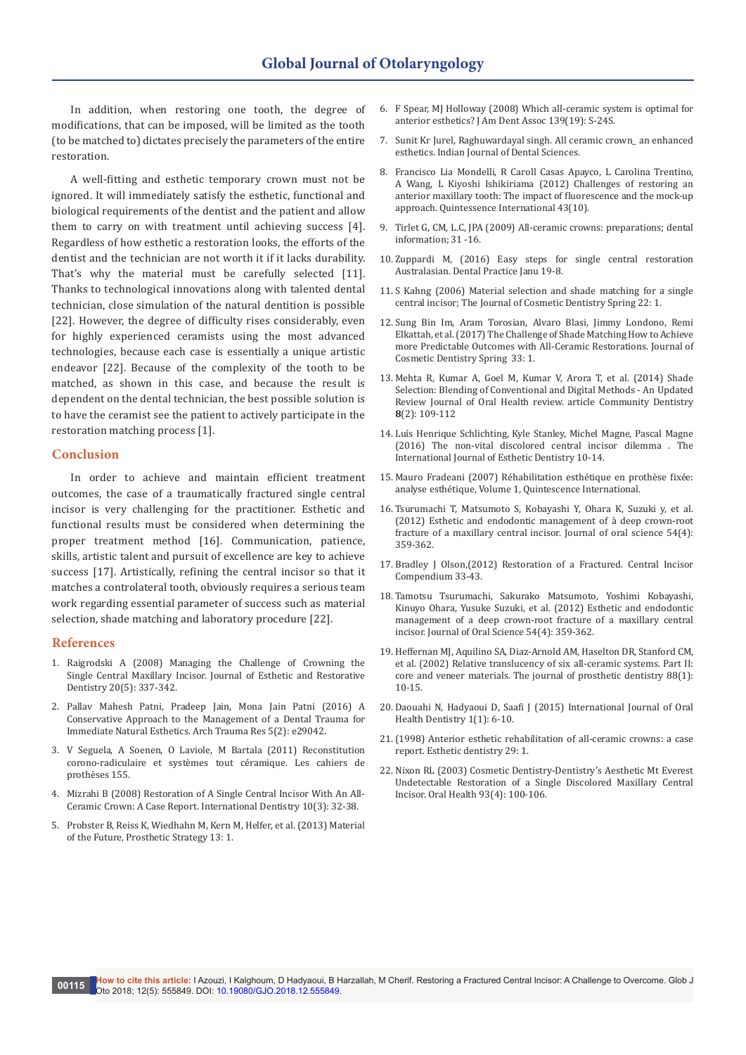In addition, when restoring one tooth, the degree of modifications, that can be imposed, will be limited as the tooth (to be matched to) dictates precisely the parameters of the entire restoration.

A well-fitting and esthetic temporary crown must not be ignored. It will immediately satisfy the esthetic, functional and biological requirements of the dentist and the patient and allow them to carry on with treatment until achieving success [4]. Regardless of how esthetic a restoration looks, the efforts of the dentist and the technician are not worth it if it lacks durability. That's why the material must be carefully selected [11]. Thanks to technological innovations along with talented dental technician, close simulation of the natural dentition is possible [22]. However, the degree of difficulty rises considerably, even for highly experienced ceramists using the most advanced technologies, because each case is essentially a unique artistic endeavor [22]. Because of the complexity of the tooth to be matched, as shown in this case, and because the result is dependent on the dental technician, the best possible solution is to have the ceramist see the patient to actively participate in the restoration matching process [1].

## **Conclusion**

In order to achieve and maintain efficient treatment outcomes, the case of a traumatically fractured single central incisor is very challenging for the practitioner. Esthetic and functional results must be considered when determining the proper treatment method [16]. Communication, patience, skills, artistic talent and pursuit of excellence are key to achieve success [17]. Artistically, refining the central incisor so that it matches a controlateral tooth, obviously requires a serious team work regarding essential parameter of success such as material selection, shade matching and laboratory procedure [22].

#### **References**

- 1. [Raigrodski A \(2008\) Managing the Challenge of Crowning the](https://iths.pure.elsevier.com/en/publications/managing-the-challenge-of-crowning-the-single-central-maxillary-i)  Single Central Maxillary Incisor. [Journal of Esthetic and Restorative](https://iths.pure.elsevier.com/en/publications/managing-the-challenge-of-crowning-the-single-central-maxillary-i)  Dentistry [20\(5\): 337-342.](https://iths.pure.elsevier.com/en/publications/managing-the-challenge-of-crowning-the-single-central-maxillary-i)
- 2. [Pallav Mahesh Patni, Pradeep Jain, Mona Jain Patni \(2016\) A](https://www.ncbi.nlm.nih.gov/pmc/articles/PMC5035439/)  [Conservative Approach to the Management of a Dental Trauma for](https://www.ncbi.nlm.nih.gov/pmc/articles/PMC5035439/)  [Immediate Natural Esthetics. Arch Trauma Res 5\(2\): e29042.](https://www.ncbi.nlm.nih.gov/pmc/articles/PMC5035439/)
- 3. [V Seguela, A Soenen, O Laviole, M Bartala \(2011\) Reconstitution](http://www.editionscdp.fr/revues/les-cahiers-de-prothese/article/n-155/reconstitution-corono-radiculaire-et-systemes-tout-ceramique.html)  [corono-radiculaire et systèmes tout céramique. Les cahiers de](http://www.editionscdp.fr/revues/les-cahiers-de-prothese/article/n-155/reconstitution-corono-radiculaire-et-systemes-tout-ceramique.html)  [prothèses 155.](http://www.editionscdp.fr/revues/les-cahiers-de-prothese/article/n-155/reconstitution-corono-radiculaire-et-systemes-tout-ceramique.html)
- 4. [Mizrahi B \(2008\) Restoration of A Single Central Incisor With An All-](http://www.moderndentistrymedia.com/may_june2008/mizrahi.pdf)[Ceramic Crown: A Case Report. International Dentistry 10\(3\): 32-38.](http://www.moderndentistrymedia.com/may_june2008/mizrahi.pdf)
- 5. Probster B, Reiss K, Wiedhahn M, Kern M, Helfer, et al. (2013) Material of the Future, Prosthetic Strategy 13: 1.
- 6. [F Spear, MJ Holloway \(2008\) Which all-ceramic system is optimal for](http://jada.ada.org/article/S0002-8177(14)63464-4/abstract)  [anterior esthetics? J Am Dent Assoc 139\(19\): S-24S.](http://jada.ada.org/article/S0002-8177(14)63464-4/abstract)
- 7. [Sunit Kr Jurel, Raghuwardayal singh. All ceramic crown\\_ an enhanced](https://www.scribd.com/document/56252312/All-Ceramic-Crown)  [esthetics. Indian Journal of Dental Sciences.](https://www.scribd.com/document/56252312/All-Ceramic-Crown)
- 8. [Francisco Lia Mondelli, R Caroll Casas Apayco, L Carolina Trentino,](https://www.ncbi.nlm.nih.gov/pubmed/23115764)  [A Wang, L Kiyoshi Ishikiriama \(2012\) Challenges of restoring an](https://www.ncbi.nlm.nih.gov/pubmed/23115764)  [anterior maxillary tooth: The impact of fluorescence and the mock-up](https://www.ncbi.nlm.nih.gov/pubmed/23115764)  approach. [Quintessence International](https://www.ncbi.nlm.nih.gov/pubmed/23115764) 43(10).
- 9. Tirlet G, CM, L.C, JPA (2009) All-ceramic crowns: preparations; dental information; 31 -16.
- 10. [Zuppardi M, \(2016\) Easy steps for single central restoration](http://www.zuppardi.net/wp-content/.../Massimiliano-Zuppardi-Single-central-restoration.pd.)  [Australasian. Dental Practice Janu 19-8.](http://www.zuppardi.net/wp-content/.../Massimiliano-Zuppardi-Single-central-restoration.pd.)
- 11. S Kahng [\(2006\) Material selection and shade matching for a single](http://www.gcamerica.com/lab/products/GC.../article18-Initial_PC_%20LF_SingleCentral.p)  [central incisor; The Journal of Cosmetic Dentistry Spring 22: 1.](http://www.gcamerica.com/lab/products/GC.../article18-Initial_PC_%20LF_SingleCentral.p)
- 12. [Sung Bin Im, Aram Torosian, Alvaro Blasi, Jimmy Londono, Remi](http://web.a.ebscohost.com/abstract?direct=true&profile=ehost&scope=site&authtype=crawler&jrnl=15328910&AN=122804298&h=ta4CQpXhwJ%2bu%2bU3WIIiZ19tKKKcqx579eWcjxVs8TffGYmDdEH0maoOy6E1Iz6%2bbzvH2X8Bjgr2ZAAFJ6sl%2f%2bQ%3d%3d&crl=f&resultNs=AdminWebAuth&result)  [Elkattah, et al. \(2017\) The Challenge of Shade Matching How to Achieve](http://web.a.ebscohost.com/abstract?direct=true&profile=ehost&scope=site&authtype=crawler&jrnl=15328910&AN=122804298&h=ta4CQpXhwJ%2bu%2bU3WIIiZ19tKKKcqx579eWcjxVs8TffGYmDdEH0maoOy6E1Iz6%2bbzvH2X8Bjgr2ZAAFJ6sl%2f%2bQ%3d%3d&crl=f&resultNs=AdminWebAuth&result)  [more Predictable Outcomes with All-Ceramic Restorations. Journal of](http://web.a.ebscohost.com/abstract?direct=true&profile=ehost&scope=site&authtype=crawler&jrnl=15328910&AN=122804298&h=ta4CQpXhwJ%2bu%2bU3WIIiZ19tKKKcqx579eWcjxVs8TffGYmDdEH0maoOy6E1Iz6%2bbzvH2X8Bjgr2ZAAFJ6sl%2f%2bQ%3d%3d&crl=f&resultNs=AdminWebAuth&result)  [Cosmetic Dentistry Spring 33: 1](http://web.a.ebscohost.com/abstract?direct=true&profile=ehost&scope=site&authtype=crawler&jrnl=15328910&AN=122804298&h=ta4CQpXhwJ%2bu%2bU3WIIiZ19tKKKcqx579eWcjxVs8TffGYmDdEH0maoOy6E1Iz6%2bbzvH2X8Bjgr2ZAAFJ6sl%2f%2bQ%3d%3d&crl=f&resultNs=AdminWebAuth&result).
- 13. [Mehta R, Kumar A, Goel M, Kumar V, Arora T, et al. \(2014\) Shade](http://web.a.ebscohost.com/abstract?direct=true&profile=ehost&scope=site&authtype=crawler&jrnl=09737316&AN=100253304&h=sXGQOzTKF0BP0Lakmp%2f9vlJ%2fP%2fxJKGxWDvgxjNISuDvsG98f%2bXXpGWo0fBz8EIByZblYaZ7OtSx23WooMKMEQw%3d%3d&crl=c&resultNs=AdminWebAuth&resultLo)  [Selection: Blending of Conventional and Digital Methods - An Updated](http://web.a.ebscohost.com/abstract?direct=true&profile=ehost&scope=site&authtype=crawler&jrnl=09737316&AN=100253304&h=sXGQOzTKF0BP0Lakmp%2f9vlJ%2fP%2fxJKGxWDvgxjNISuDvsG98f%2bXXpGWo0fBz8EIByZblYaZ7OtSx23WooMKMEQw%3d%3d&crl=c&resultNs=AdminWebAuth&resultLo)  [Review Journal of Oral Health review. article Community Dentistry](http://web.a.ebscohost.com/abstract?direct=true&profile=ehost&scope=site&authtype=crawler&jrnl=09737316&AN=100253304&h=sXGQOzTKF0BP0Lakmp%2f9vlJ%2fP%2fxJKGxWDvgxjNISuDvsG98f%2bXXpGWo0fBz8EIByZblYaZ7OtSx23WooMKMEQw%3d%3d&crl=c&resultNs=AdminWebAuth&resultLo)  **8**[\(2\): 109-112](http://web.a.ebscohost.com/abstract?direct=true&profile=ehost&scope=site&authtype=crawler&jrnl=09737316&AN=100253304&h=sXGQOzTKF0BP0Lakmp%2f9vlJ%2fP%2fxJKGxWDvgxjNISuDvsG98f%2bXXpGWo0fBz8EIByZblYaZ7OtSx23WooMKMEQw%3d%3d&crl=c&resultNs=AdminWebAuth&resultLo)
- 14. [Luís Henrique Schlichting, Kyle Stanley, Michel Magne, Pascal Magne](https://www.ncbi.nlm.nih.gov/pubmed/26794051)  [\(2016\) The non-vital discolored central incisor dilemma . The](https://www.ncbi.nlm.nih.gov/pubmed/26794051)  [International Journal of Esthetic Dentistry 10-14.](https://www.ncbi.nlm.nih.gov/pubmed/26794051)
- 15. [Mauro Fradeani \(2007\) Réhabilitation esthétique en prothè](http://www.quintessence-international.fr/fiche_livre.php?IdArticle=259)se fixée: [analyse esthétique, Volume 1, Quintescence International.](http://www.quintessence-international.fr/fiche_livre.php?IdArticle=259)
- 16. [Tsurumachi T, Matsumoto S, Kobayashi Y, Ohara K, Suzuki y, et al.](https://www.ncbi.nlm.nih.gov/pubmed/23221163)  [\(2012\) Esthetic and endodontic management of à deep crown-root](https://www.ncbi.nlm.nih.gov/pubmed/23221163)  [fracture of a maxillary central incisor.](https://www.ncbi.nlm.nih.gov/pubmed/23221163) Journal of oral science 54(4): [359-362.](https://www.ncbi.nlm.nih.gov/pubmed/23221163)
- 17. [Bradley J Olson,\(2012\) Restoration of a Fractured. Central Incisor](https://www.ncbi.nlm.nih.gov/pubmed/22479785)  [Compendium 33-43.](https://www.ncbi.nlm.nih.gov/pubmed/22479785)
- 18. [Tamotsu Tsurumachi, Sakurako Matsumoto, Yoshimi Kobayashi,](https://www.semanticscholar.org/paper/Esthetic-and-endodontic-management-of-a-deep-crown-Tsurumachi-Matsumoto/cff1bcaac97c8ee39ccf0aa8a67b5fb6c90b530e)  [Kinuyo Ohara, Yusuke Suzuki, et al. \(2012\) Esthetic and endodontic](https://www.semanticscholar.org/paper/Esthetic-and-endodontic-management-of-a-deep-crown-Tsurumachi-Matsumoto/cff1bcaac97c8ee39ccf0aa8a67b5fb6c90b530e)  [management of a deep crown-root fracture of a maxillary central](https://www.semanticscholar.org/paper/Esthetic-and-endodontic-management-of-a-deep-crown-Tsurumachi-Matsumoto/cff1bcaac97c8ee39ccf0aa8a67b5fb6c90b530e)  [incisor. Journal of Oral Science 54\(4\): 359-362.](https://www.semanticscholar.org/paper/Esthetic-and-endodontic-management-of-a-deep-crown-Tsurumachi-Matsumoto/cff1bcaac97c8ee39ccf0aa8a67b5fb6c90b530e)
- 19. [Heffernan MJ, Aquilino SA, Diaz-Arnold AM, Haselton DR, Stanford CM,](https://www.ncbi.nlm.nih.gov/pubmed/12239472)  [et al. \(2002\) Relative translucency of six all-ceramic systems. Part II:](https://www.ncbi.nlm.nih.gov/pubmed/12239472)  core and veneer materials. [The journal of prosthetic dentistry 88\(1\):](https://www.ncbi.nlm.nih.gov/pubmed/12239472)  [10-15.](https://www.ncbi.nlm.nih.gov/pubmed/12239472)
- 20. Daouahi N, Hadyaoui D, Saafi J (2015) International Journal of Oral Health Dentistry 1(1): 6-10.
- 21.[\(1998\) Anterior esthetic rehabilitation of all-ceramic crowns: a case](https://www.ncbi.nlm.nih.gov/pubmed/9611473)  [report. Esthetic dentistry 29: 1.](https://www.ncbi.nlm.nih.gov/pubmed/9611473)
- 22. Nixon RL (2003) Cosmetic Dentistry-Dentistry's Aesthetic Mt Everest Undetectable Restoration of a Single Discolored Maxillary Central Incisor. Oral Health 93(4): 100-106.